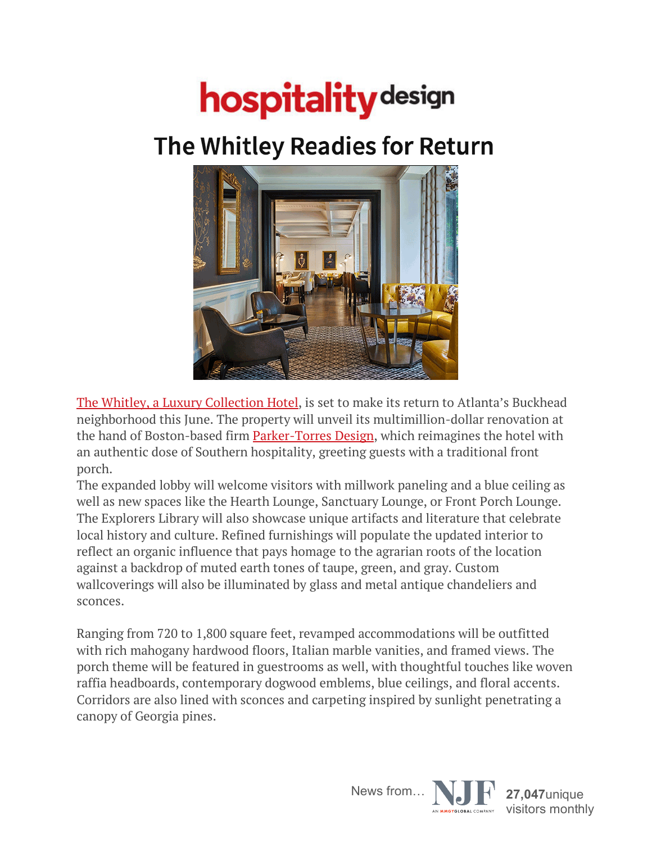## **hospitality** design

## The Whitley Readies for Return



The Whitley, a Luxury Collection Hotel, is set to make its return to Atlanta's Buckhead neighborhood this June. The property will unveil its multimillion-dollar renovation at the hand of Boston-based firm Parker-Torres Design, which reimagines the hotel with an authentic dose of Southern hospitality, greeting guests with a traditional front porch.

The expanded lobby will welcome visitors with millwork paneling and a blue ceiling as well as new spaces like the Hearth Lounge, Sanctuary Lounge, or Front Porch Lounge. The Explorers Library will also showcase unique artifacts and literature that celebrate local history and culture. Refined furnishings will populate the updated interior to reflect an organic influence that pays homage to the agrarian roots of the location against a backdrop of muted earth tones of taupe, green, and gray. Custom wallcoverings will also be illuminated by glass and metal antique chandeliers and sconces.

Ranging from 720 to 1,800 square feet, revamped accommodations will be outfitted with rich mahogany hardwood floors, Italian marble vanities, and framed views. The porch theme will be featured in guestrooms as well, with thoughtful touches like woven raffia headboards, contemporary dogwood emblems, blue ceilings, and floral accents. Corridors are also lined with sconces and carpeting inspired by sunlight penetrating a canopy of Georgia pines.